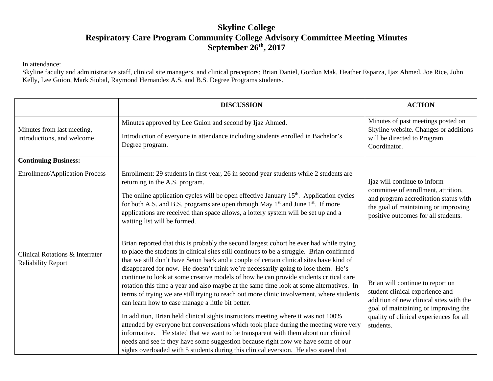## **Skyline College Respiratory Care Program Community College Advisory Committee Meeting Minutes September 26th , 2017**

In attendance:

Skyline faculty and administrative staff, clinical site managers, and clinical preceptors: Brian Daniel, Gordon Mak, Heather Esparza, Ijaz Ahmed, Joe Rice, John Kelly, Lee Guion, Mark Siobal, Raymond Hernandez A.S. and B.S. Degree Programs students.

|                                                              | <b>DISCUSSION</b>                                                                                                                                                                                                                                                                                                                                                                                                                                                                                                                                                                                                                                                                                                                                                                                                                                                                                                                                                                                                                                                                                                                                       | <b>ACTION</b>                                                                                                                                                                                                  |
|--------------------------------------------------------------|---------------------------------------------------------------------------------------------------------------------------------------------------------------------------------------------------------------------------------------------------------------------------------------------------------------------------------------------------------------------------------------------------------------------------------------------------------------------------------------------------------------------------------------------------------------------------------------------------------------------------------------------------------------------------------------------------------------------------------------------------------------------------------------------------------------------------------------------------------------------------------------------------------------------------------------------------------------------------------------------------------------------------------------------------------------------------------------------------------------------------------------------------------|----------------------------------------------------------------------------------------------------------------------------------------------------------------------------------------------------------------|
| Minutes from last meeting,<br>introductions, and welcome     | Minutes approved by Lee Guion and second by Ijaz Ahmed.<br>Introduction of everyone in attendance including students enrolled in Bachelor's<br>Degree program.                                                                                                                                                                                                                                                                                                                                                                                                                                                                                                                                                                                                                                                                                                                                                                                                                                                                                                                                                                                          | Minutes of past meetings posted on<br>Skyline website. Changes or additions<br>will be directed to Program<br>Coordinator.                                                                                     |
| <b>Continuing Business:</b>                                  |                                                                                                                                                                                                                                                                                                                                                                                                                                                                                                                                                                                                                                                                                                                                                                                                                                                                                                                                                                                                                                                                                                                                                         |                                                                                                                                                                                                                |
| <b>Enrollment/Application Process</b>                        | Enrollment: 29 students in first year, 26 in second year students while 2 students are<br>returning in the A.S. program.<br>The online application cycles will be open effective January 15 <sup>th</sup> . Application cycles<br>for both A.S. and B.S. programs are open through May 1 <sup>st</sup> and June 1 <sup>st</sup> . If more<br>applications are received than space allows, a lottery system will be set up and a<br>waiting list will be formed.                                                                                                                                                                                                                                                                                                                                                                                                                                                                                                                                                                                                                                                                                         | Ijaz will continue to inform<br>committee of enrollment, attrition,<br>and program accreditation status with<br>the goal of maintaining or improving<br>positive outcomes for all students.                    |
| Clinical Rotations & Interrater<br><b>Reliability Report</b> | Brian reported that this is probably the second largest cohort he ever had while trying<br>to place the students in clinical sites still continues to be a struggle. Brian confirmed<br>that we still don't have Seton back and a couple of certain clinical sites have kind of<br>disappeared for now. He doesn't think we're necessarily going to lose them. He's<br>continue to look at some creative models of how he can provide students critical care<br>rotation this time a year and also maybe at the same time look at some alternatives. In<br>terms of trying we are still trying to reach out more clinic involvement, where students<br>can learn how to case manage a little bit better.<br>In addition, Brian held clinical sights instructors meeting where it was not 100%<br>attended by everyone but conversations which took place during the meeting were very<br>informative. He stated that we want to be transparent with them about our clinical<br>needs and see if they have some suggestion because right now we have some of our<br>sights overloaded with 5 students during this clinical eversion. He also stated that | Brian will continue to report on<br>student clinical experience and<br>addition of new clinical sites with the<br>goal of maintaining or improving the<br>quality of clinical experiences for all<br>students. |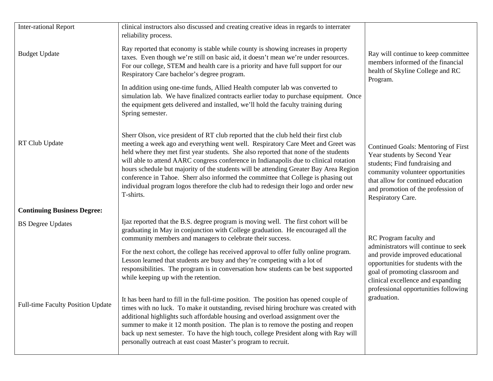| <b>Inter-rational Report</b>             | clinical instructors also discussed and creating creative ideas in regards to interrater<br>reliability process.                                                                                                                                                                                                                                                                                                                                                                                                                                                                                                                             |                                                                                                                                                                                                                                             |
|------------------------------------------|----------------------------------------------------------------------------------------------------------------------------------------------------------------------------------------------------------------------------------------------------------------------------------------------------------------------------------------------------------------------------------------------------------------------------------------------------------------------------------------------------------------------------------------------------------------------------------------------------------------------------------------------|---------------------------------------------------------------------------------------------------------------------------------------------------------------------------------------------------------------------------------------------|
| <b>Budget Update</b>                     | Ray reported that economy is stable while county is showing increases in property<br>taxes. Even though we're still on basic aid, it doesn't mean we're under resources.<br>For our college, STEM and health care is a priority and have full support for our<br>Respiratory Care bachelor's degree program.                                                                                                                                                                                                                                                                                                                                 | Ray will continue to keep committee<br>members informed of the financial<br>health of Skyline College and RC<br>Program.                                                                                                                    |
|                                          | In addition using one-time funds, Allied Health computer lab was converted to<br>simulation lab. We have finalized contracts earlier today to purchase equipment. Once<br>the equipment gets delivered and installed, we'll hold the faculty training during<br>Spring semester.                                                                                                                                                                                                                                                                                                                                                             |                                                                                                                                                                                                                                             |
| RT Club Update                           | Sherr Olson, vice president of RT club reported that the club held their first club<br>meeting a week ago and everything went well. Respiratory Care Meet and Greet was<br>held where they met first year students. She also reported that none of the students<br>will able to attend AARC congress conference in Indianapolis due to clinical rotation<br>hours schedule but majority of the students will be attending Greater Bay Area Region<br>conference in Tahoe. Sherr also informed the committee that College is phasing out<br>individual program logos therefore the club had to redesign their logo and order new<br>T-shirts. | Continued Goals: Mentoring of First<br>Year students by Second Year<br>students; Find fundraising and<br>community volunteer opportunities<br>that allow for continued education<br>and promotion of the profession of<br>Respiratory Care. |
| <b>Continuing Business Degree:</b>       |                                                                                                                                                                                                                                                                                                                                                                                                                                                                                                                                                                                                                                              |                                                                                                                                                                                                                                             |
| <b>BS</b> Degree Updates                 | Ijaz reported that the B.S. degree program is moving well. The first cohort will be<br>graduating in May in conjunction with College graduation. He encouraged all the<br>community members and managers to celebrate their success.                                                                                                                                                                                                                                                                                                                                                                                                         | RC Program faculty and                                                                                                                                                                                                                      |
|                                          | For the next cohort, the college has received approval to offer fully online program.<br>Lesson learned that students are busy and they're competing with a lot of<br>responsibilities. The program is in conversation how students can be best supported<br>while keeping up with the retention.                                                                                                                                                                                                                                                                                                                                            | administrators will continue to seek<br>and provide improved educational<br>opportunities for students with the<br>goal of promoting classroom and<br>clinical excellence and expanding<br>professional opportunities following             |
| <b>Full-time Faculty Position Update</b> | It has been hard to fill in the full-time position. The position has opened couple of<br>times with no luck. To make it outstanding, revised hiring brochure was created with<br>additional highlights such affordable housing and overload assignment over the<br>summer to make it 12 month position. The plan is to remove the posting and reopen<br>back up next semester. To have the high touch, college President along with Ray will<br>personally outreach at east coast Master's program to recruit.                                                                                                                               | graduation.                                                                                                                                                                                                                                 |